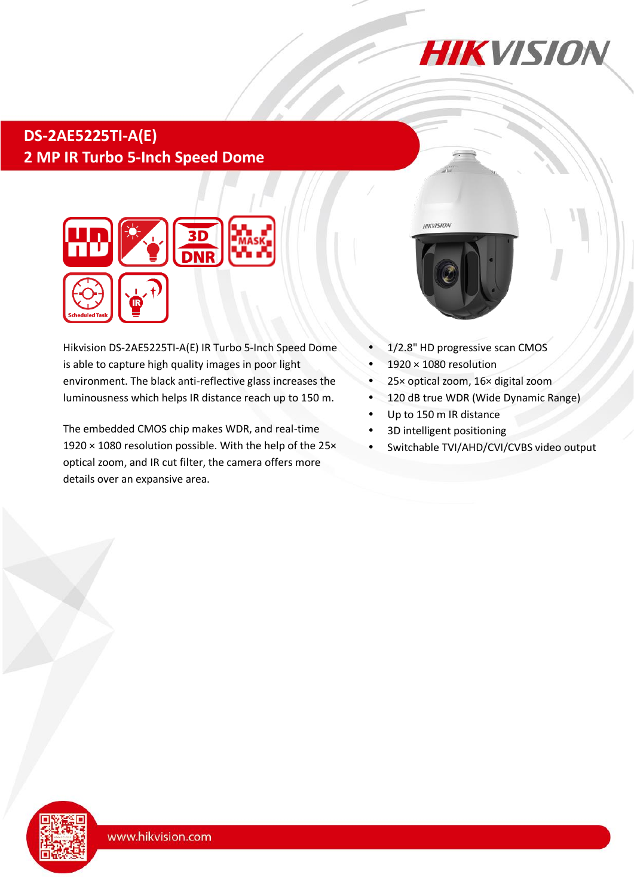

# **DS-2AE5225TI-A(E) 2 MP IR Turbo 5-Inch Speed Dome**



Hikvision DS-2AE5225TI-A(E) IR Turbo 5-Inch Speed Dome is able to capture high quality images in poor light environment. The black anti-reflective glass increases the luminousness which helps IR distance reach up to 150 m.

The embedded CMOS chip makes WDR, and real-time 1920 × 1080 resolution possible. With the help of the 25× optical zoom, and IR cut filter, the camera offers more details over an expansive area.



- 1/2.8" HD progressive scan CMOS
- 1920 × 1080 resolution
- 25× optical zoom, 16× digital zoom
- 120 dB true WDR (Wide Dynamic Range)
- Up to 150 m IR distance
- 3D intelligent positioning
- Switchable TVI/AHD/CVI/CVBS video output

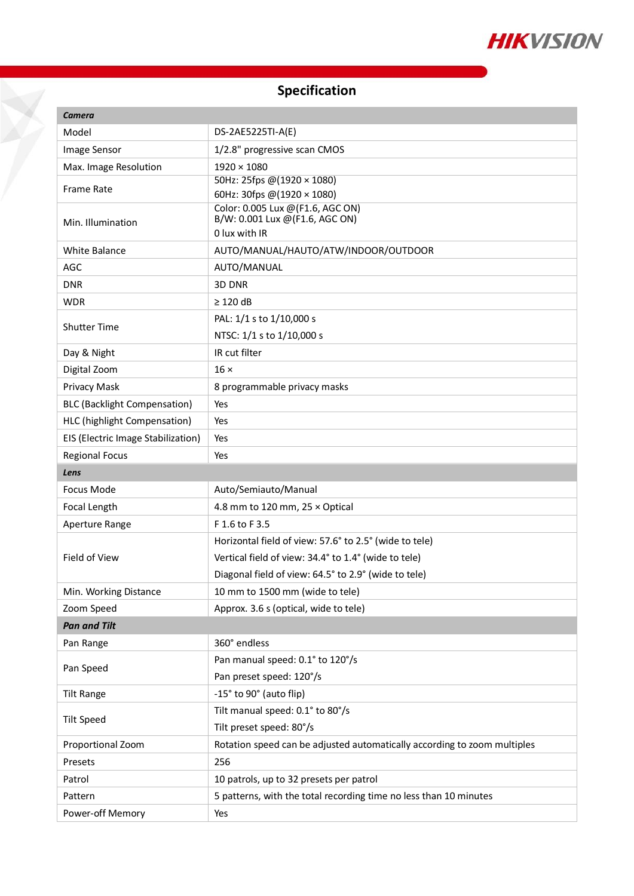

## **Specification**

X

| <b>Camera</b>                       |                                                                          |
|-------------------------------------|--------------------------------------------------------------------------|
| Model                               | DS-2AE5225TI-A(E)                                                        |
| Image Sensor                        | 1/2.8" progressive scan CMOS                                             |
| Max. Image Resolution               | $1920 \times 1080$                                                       |
| <b>Frame Rate</b>                   | 50Hz: 25fps @(1920 × 1080)                                               |
|                                     | 60Hz: 30fps @(1920 × 1080)<br>Color: 0.005 Lux @ (F1.6, AGC ON)          |
| Min. Illumination                   | B/W: 0.001 Lux @(F1.6, AGC ON)                                           |
|                                     | O lux with IR                                                            |
| <b>White Balance</b>                | AUTO/MANUAL/HAUTO/ATW/INDOOR/OUTDOOR                                     |
| AGC                                 | AUTO/MANUAL                                                              |
| <b>DNR</b>                          | 3D DNR                                                                   |
| <b>WDR</b>                          | $\geq$ 120 dB                                                            |
| <b>Shutter Time</b>                 | PAL: 1/1 s to 1/10,000 s                                                 |
|                                     | NTSC: 1/1 s to 1/10,000 s                                                |
| Day & Night                         | IR cut filter                                                            |
| Digital Zoom                        | $16 \times$                                                              |
| Privacy Mask                        | 8 programmable privacy masks                                             |
| <b>BLC (Backlight Compensation)</b> | Yes                                                                      |
| HLC (highlight Compensation)        | Yes                                                                      |
| EIS (Electric Image Stabilization)  | Yes                                                                      |
| <b>Regional Focus</b>               | Yes                                                                      |
| Lens                                |                                                                          |
|                                     |                                                                          |
| Focus Mode                          | Auto/Semiauto/Manual                                                     |
| Focal Length                        | 4.8 mm to 120 mm, $25 \times$ Optical                                    |
| Aperture Range                      | F 1.6 to F 3.5                                                           |
|                                     | Horizontal field of view: 57.6° to 2.5° (wide to tele)                   |
| Field of View                       | Vertical field of view: 34.4° to 1.4° (wide to tele)                     |
|                                     | Diagonal field of view: 64.5° to 2.9° (wide to tele)                     |
| Min. Working Distance               | 10 mm to 1500 mm (wide to tele)                                          |
| Zoom Speed                          | Approx. 3.6 s (optical, wide to tele)                                    |
| <b>Pan and Tilt</b>                 |                                                                          |
| Pan Range                           | 360° endless                                                             |
|                                     | Pan manual speed: 0.1° to 120°/s                                         |
| Pan Speed                           | Pan preset speed: 120°/s                                                 |
| <b>Tilt Range</b>                   | -15° to 90° (auto flip)                                                  |
|                                     | Tilt manual speed: 0.1° to 80°/s                                         |
| <b>Tilt Speed</b>                   | Tilt preset speed: 80°/s                                                 |
| Proportional Zoom                   | Rotation speed can be adjusted automatically according to zoom multiples |
| Presets                             | 256                                                                      |
| Patrol                              | 10 patrols, up to 32 presets per patrol                                  |
| Pattern                             | 5 patterns, with the total recording time no less than 10 minutes        |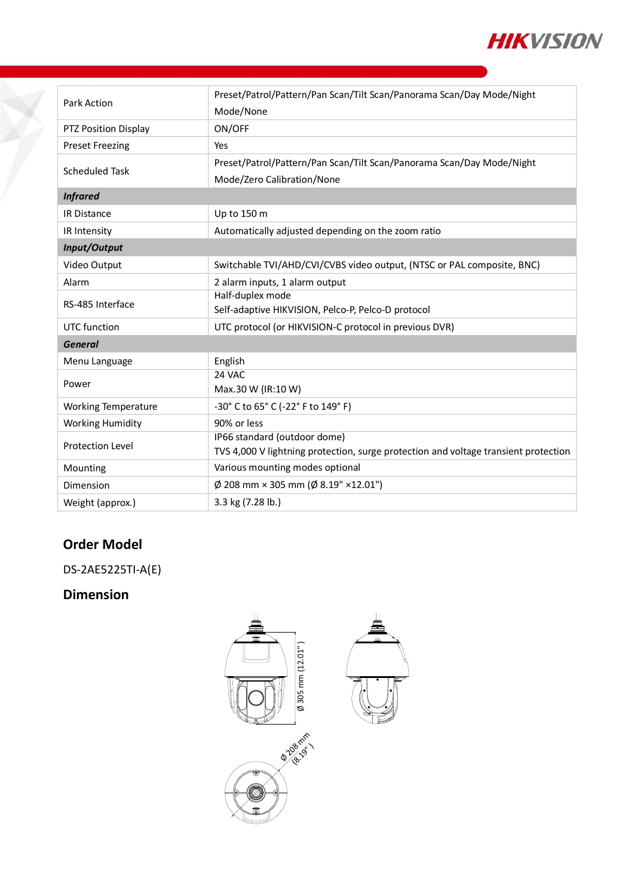

| <b>Park Action</b>         | Preset/Patrol/Pattern/Pan Scan/Tilt Scan/Panorama Scan/Day Mode/Night               |
|----------------------------|-------------------------------------------------------------------------------------|
|                            | Mode/None                                                                           |
| PTZ Position Display       | ON/OFF                                                                              |
| <b>Preset Freezing</b>     | Yes                                                                                 |
| <b>Scheduled Task</b>      | Preset/Patrol/Pattern/Pan Scan/Tilt Scan/Panorama Scan/Day Mode/Night               |
|                            | Mode/Zero Calibration/None                                                          |
| <b>Infrared</b>            |                                                                                     |
| <b>IR Distance</b>         | Up to 150 m                                                                         |
| IR Intensity               | Automatically adjusted depending on the zoom ratio                                  |
| Input/Output               |                                                                                     |
| Video Output               | Switchable TVI/AHD/CVI/CVBS video output, (NTSC or PAL composite, BNC)              |
| Alarm                      | 2 alarm inputs, 1 alarm output                                                      |
| RS-485 Interface           | Half-duplex mode                                                                    |
|                            | Self-adaptive HIKVISION, Pelco-P, Pelco-D protocol                                  |
| UTC function               | UTC protocol (or HIKVISION-C protocol in previous DVR)                              |
| <b>General</b>             |                                                                                     |
| Menu Language              | English                                                                             |
| Power                      | 24 VAC                                                                              |
|                            | Max.30 W (IR:10 W)                                                                  |
| <b>Working Temperature</b> | -30° C to 65° C (-22° F to 149° F)                                                  |
| <b>Working Humidity</b>    | 90% or less                                                                         |
| <b>Protection Level</b>    | IP66 standard (outdoor dome)                                                        |
|                            | TVS 4,000 V lightning protection, surge protection and voltage transient protection |
| Mounting                   | Various mounting modes optional                                                     |
| Dimension                  | $\varnothing$ 208 mm × 305 mm ( $\varnothing$ 8.19" ×12.01")                        |
| Weight (approx.)           | 3.3 kg (7.28 lb.)                                                                   |

#### **Order Model**

DS-2AE5225TI-A(E)

### **Dimension**